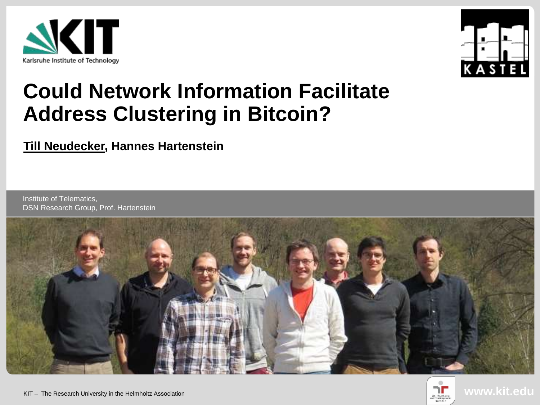



# **Could Network Information Facilitate Address Clustering in Bitcoin?**

#### **Till Neudecker, Hannes Hartenstein**

Institute of Telematics, DSN Research Group, Prof. Hartenstein



**www.kit.edu**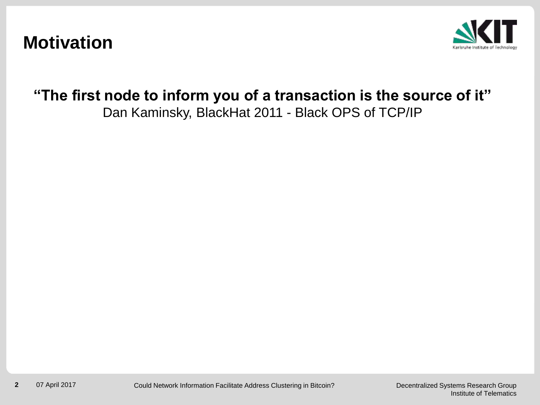#### **Motivation**



#### **"The first node to inform you of a transaction is the source of it"** Dan Kaminsky, BlackHat 2011 - Black OPS of TCP/IP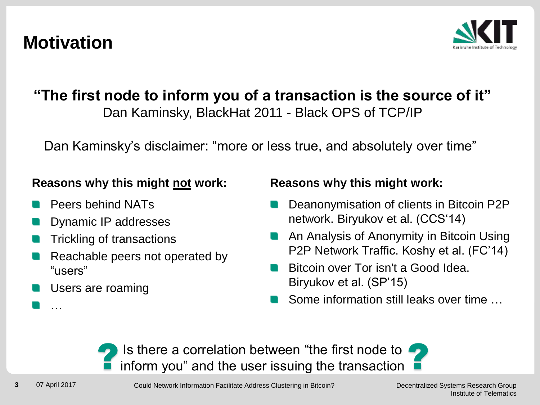### **Motivation**



#### **"The first node to inform you of a transaction is the source of it"** Dan Kaminsky, BlackHat 2011 - Black OPS of TCP/IP

Dan Kaminsky's disclaimer: "more or less true, and absolutely over time"

#### **Reasons why this might not work:**

- Peers behind NATs
- Dynamic IP addresses
- Trickling of transactions
- Reachable peers not operated by "users"
- Users are roaming

#### **Reasons why this might work:**

- Deanonymisation of clients in Bitcoin P2P network. Biryukov et al. (CCS'14)
- An Analysis of Anonymity in Bitcoin Using P2P Network Traffic. Koshy et al. (FC'14)
- Bitcoin over Tor isn't a Good Idea. Biryukov et al. (SP'15)
- Some information still leaks over time



…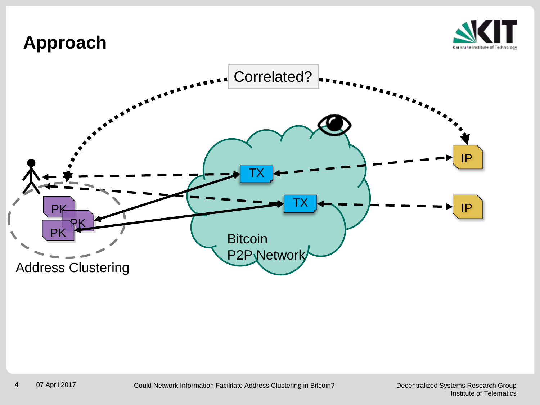#### **Approach**



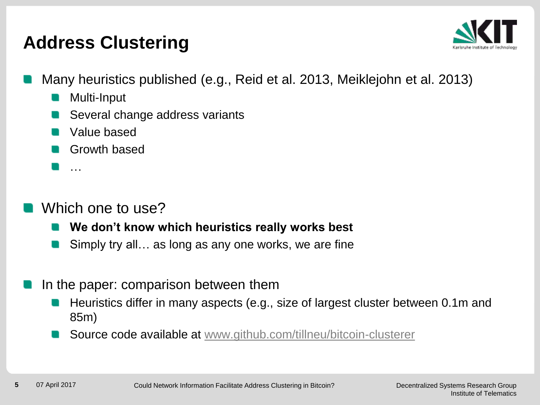## **Address Clustering**



- Many heuristics published (e.g., Reid et al. 2013, Meiklejohn et al. 2013)
	- Multi-Input
	- Several change address variants
	- **N** Value based
	- **Growth based**
	- …

#### Which one to use?

- **We don't know which heuristics really works best**
- Simply try all… as long as any one works, we are fine
- In the paper: comparison between them
	- Heuristics differ in many aspects (e.g., size of largest cluster between 0.1m and 85m)
	- Source code available at [www.github.com/tillneu/bitcoin-clusterer](http://www.github.com/tillneu/bitcoin-clusterer)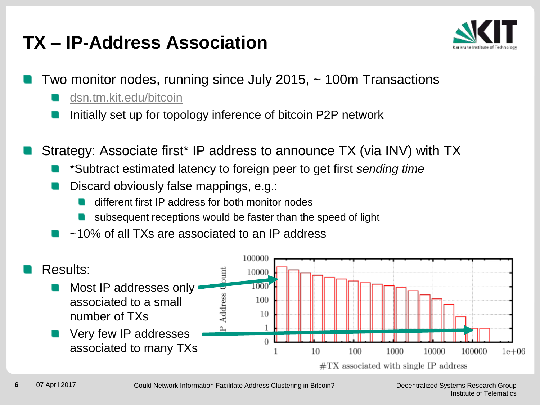## **TX – IP-Address Association**



- Two monitor nodes, running since July 2015, ~ 100m Transactions
	- [dsn.tm.kit.edu/bitcoin](http://dsn.tm.kit.edu/bitcoin)
	- Initially set up for topology inference of bitcoin P2P network
- Strategy: Associate first\* IP address to announce TX (via INV) with TX
	- \*Subtract estimated latency to foreign peer to get first *sending time*
	- Discard obviously false mappings, e.g.:
		- different first IP address for both monitor nodes
		- subsequent receptions would be faster than the speed of light
	- ~10% of all TXs are associated to an IP address

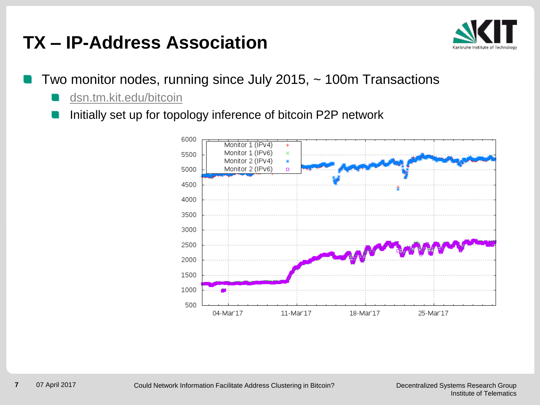### **TX – IP-Address Association**



- Two monitor nodes, running since July 2015, ~ 100m Transactions
	- [dsn.tm.kit.edu/bitcoin](http://dsn.tm.kit.edu/bitcoin)
	- Initially set up for topology inference of bitcoin P2P network

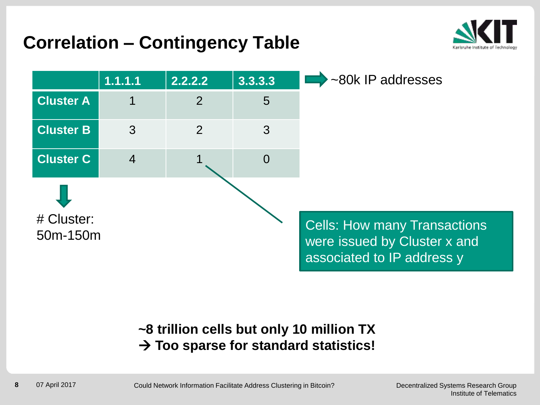## **Correlation – Contingency Table**





#### **~8 trillion cells but only 10 million TX Too sparse for standard statistics!**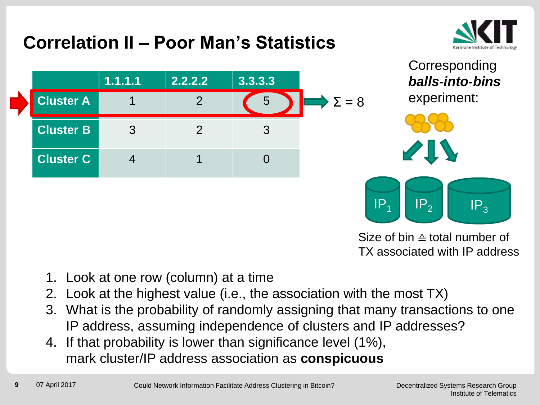## **Correlation II – Poor Man's Statistics**









Size of bin ≙ total number of TX associated with IP address

- 1. Look at one row (column) at a time
- 2. Look at the highest value (i.e., the association with the most TX)
- 3. What is the probability of randomly assigning that many transactions to one IP address, assuming independence of clusters and IP addresses?
- 4. If that probability is lower than significance level (1%), mark cluster/IP address association as **conspicuous**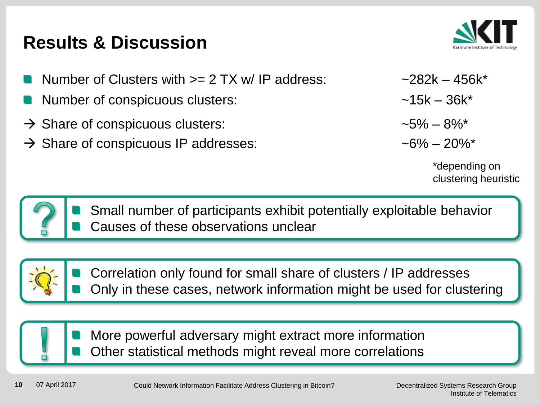## **Results & Discussion**

- Number of Clusters with  $>= 2$  TX w/ IP address:  $= 282k 456k^*$
- Number of conspicuous clusters:  $\sim$  15k 36k\*
- $\rightarrow$  Share of conspicuous clusters:  $\rightarrow$  5% 8%\*
- $\rightarrow$  Share of conspicuous IP addresses:  $\rightarrow$  6% 20%\*



\*depending on clustering heuristic



Small number of participants exhibit potentially exploitable behavior Causes of these observations unclear



Correlation only found for small share of clusters / IP addresses Only in these cases, network information might be used for clustering



More powerful adversary might extract more information Other statistical methods might reveal more correlations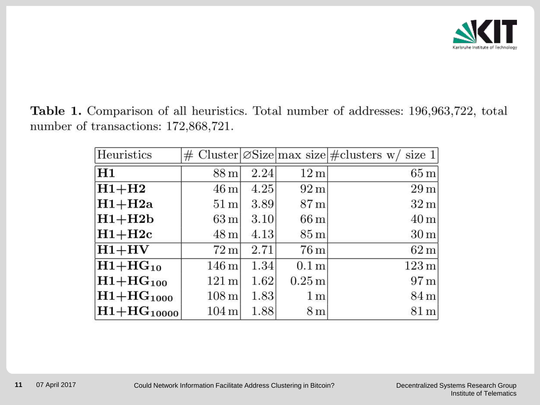

Table 1. Comparison of all heuristics. Total number of addresses: 196,963,722, total number of transactions: 172,868,721.

| Heuristics      |                    |      |                    | # Cluster $\varnothing$ Size max size # clusters w/ size 1 |
|-----------------|--------------------|------|--------------------|------------------------------------------------------------|
| H1              | $88 \,\mathrm{m}$  | 2.24 | 12 <sub>m</sub>    | $65 \text{ m}$                                             |
| $H1+H2$         | $46 \,\mathrm{m}$  | 4.25 | $92 \,\mathrm{m}$  | $29 \,\mathrm{m}$                                          |
| $H1+H2a$        | $51 \,\mathrm{m}$  | 3.89 | $87 \,\mathrm{m}$  | $32 \,\mathrm{m}$                                          |
| $H1+H2b$        | $63 \,\mathrm{m}$  | 3.10 | $66\,\mathrm{m}$   | $40 \,\mathrm{m}$                                          |
| $H1+H2c$        | $48 \,\mathrm{m}$  | 4.13 | $85\,\mathrm{m}$   | $30 \,\mathrm{m}$                                          |
| $H1+HV$         | $72 \,\mathrm{m}$  | 2.71 | $76 \,\mathrm{m}$  | $62 \,\mathrm{m}$                                          |
| $H1+HG_{10}$    | $146 \,\mathrm{m}$ | 1.34 | $0.1\,\mathrm{m}$  | $123 \,\mathrm{m}$                                         |
| $H1+HG_{100}$   | $121 \text{ m}$    | 1.62 | $0.25\,\mathrm{m}$ | $97 \text{ m}$                                             |
| $H1+HG_{1000}$  | $108 \,\mathrm{m}$ | 1.83 | 1 <sub>m</sub>     | $84 \,\mathrm{m}$                                          |
| $H1+HG_{10000}$ | $104 \,\mathrm{m}$ | 1.88 | 8 <sub>m</sub>     | $81 \,\mathrm{m}$                                          |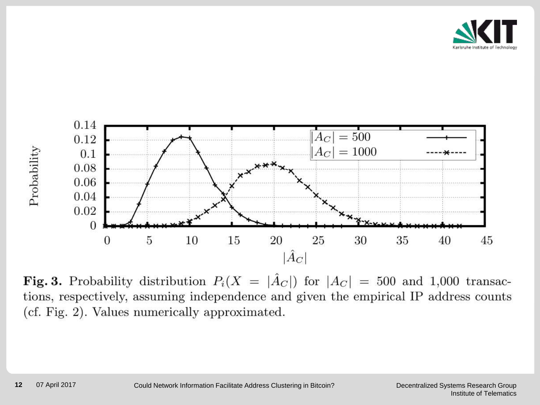



Fig. 3. Probability distribution  $P_i(X = |\hat{A}_C|)$  for  $|A_C| = 500$  and 1,000 transactions, respectively, assuming independence and given the empirical IP address counts (cf. Fig. 2). Values numerically approximated.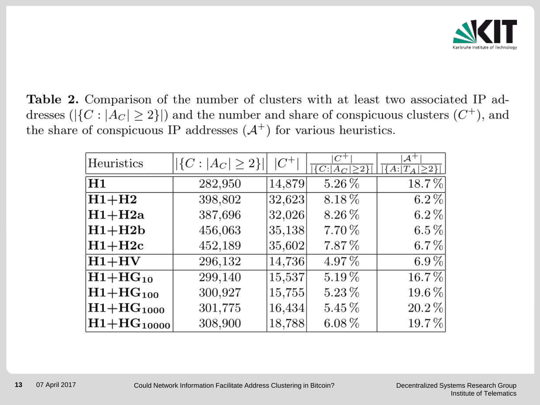

Table 2. Comparison of the number of clusters with at least two associated IP addresses ( $|\{C : |A_C| \ge 2\}|$ ) and the number and share of conspicuous clusters  $(C^+)$ , and the share of conspicuous IP addresses  $(A^+)$  for various heuristics.

| Heuristics             | $ \{C :  A_C  \geq 2\} $ | $ C +$ | $C^+$<br>$ \{C: A_C \geq 2\} $ | $\mathcal{A}^+$<br>$\overline{\{A: T_A \geq 2\} }$ |
|------------------------|--------------------------|--------|--------------------------------|----------------------------------------------------|
| H <sub>1</sub>         | 282,950                  | 14,879 | $5.26\,\%$                     | 18.7%                                              |
| $\rm _{H1+H2}$         | 398,802                  | 32,623 | 8.18%                          | $6.2\%$                                            |
| $ H1+H2a $             | 387,696                  | 32,026 | 8.26%                          | $6.2\%$                                            |
| $ H1+H2b $             | 456,063                  | 35,138 | 7.70%                          | $6.5\%$                                            |
| $\rm _{H1+H2c}$        | 452,189                  | 35,602 | 7.87%                          | $6.7\%$                                            |
| $ H1+HV $              | 296,132                  | 14,736 | 4.97%                          | $6.9\%$                                            |
| $\rm _{H1+HG_{10}}$    | 299,140                  | 15,537 | $5.19\%$                       | 16.7%                                              |
| $\rm _{H1+HG_{100}}$   | 300,927                  | 15,755 | $5.23\,\%$                     | 19.6%                                              |
| $\rm _{H1+HG_{1000}}$  | 301,775                  | 16,434 | $5.45\%$                       | $20.2\%$                                           |
| $\rm _{H1+HG_{10000}}$ | 308,900                  | 18,788 | $6.08\%$                       | 19.7%                                              |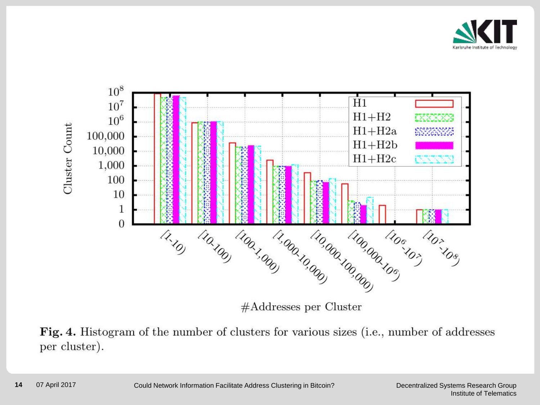



 $#Address$  per Cluster